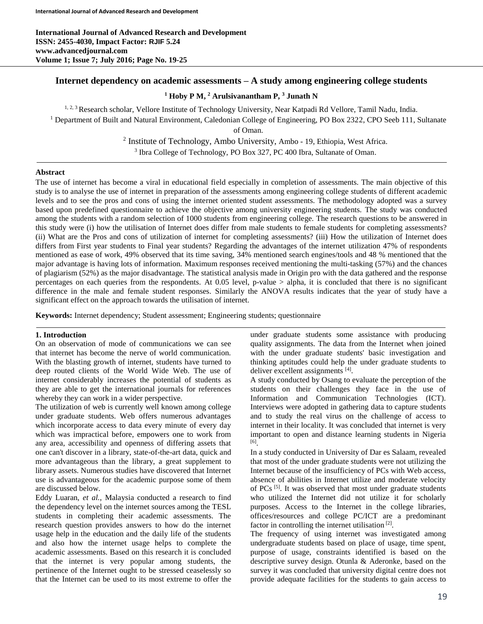## **Internet dependency on academic assessments – A study among engineering college students**

**<sup>1</sup> Hoby P M, <sup>2</sup> Arulsivanantham P, <sup>3</sup> Junath N**

<sup>1, 2, 3</sup> Research scholar, Vellore Institute of Technology University, Near Katpadi Rd Vellore, Tamil Nadu, India. <sup>1</sup> Department of Built and Natural Environment, Caledonian College of Engineering, PO Box 2322, CPO Seeb 111, Sultanate

of Oman.

<sup>2</sup> Institute of Technology, Ambo University, Ambo - 19, Ethiopia, West Africa. <sup>3</sup> Ibra College of Technology, PO Box 327, PC 400 Ibra, Sultanate of Oman.

### **Abstract**

The use of internet has become a viral in educational field especially in completion of assessments. The main objective of this study is to analyse the use of internet in preparation of the assessments among engineering college students of different academic levels and to see the pros and cons of using the internet oriented student assessments. The methodology adopted was a survey based upon predefined questionnaire to achieve the objective among university engineering students. The study was conducted among the students with a random selection of 1000 students from engineering college. The research questions to be answered in this study were (i) how the utilisation of Internet does differ from male students to female students for completing assessments? (ii) What are the Pros and cons of utilization of internet for completing assessments? (iii) How the utilization of Internet does differs from First year students to Final year students? Regarding the advantages of the internet utilization 47% of respondents mentioned as ease of work, 49% observed that its time saving, 34% mentioned search engines/tools and 48 % mentioned that the major advantage is having lots of information. Maximum responses received mentioning the multi-tasking (57%) and the chances of plagiarism (52%) as the major disadvantage. The statistical analysis made in Origin pro with the data gathered and the response percentages on each queries from the respondents. At 0.05 level, p-value > alpha, it is concluded that there is no significant difference in the male and female student responses. Similarly the ANOVA results indicates that the year of study have a significant effect on the approach towards the utilisation of internet.

**Keywords:** Internet dependency; Student assessment; Engineering students; questionnaire

### **1. Introduction**

On an observation of mode of communications we can see that internet has become the nerve of world communication. With the blasting growth of internet, students have turned to deep routed clients of the World Wide Web. The use of internet considerably increases the potential of students as they are able to get the international journals for references whereby they can work in a wider perspective.

The utilization of web is currently well known among college under graduate students. Web offers numerous advantages which incorporate access to data every minute of every day which was impractical before, empowers one to work from any area, accessibility and openness of differing assets that one can't discover in a library, state-of-the-art data, quick and more advantageous than the library, a great supplement to library assets. Numerous studies have discovered that Internet use is advantageous for the academic purpose some of them are discussed below.

Eddy Luaran, *et al.*, Malaysia conducted a research to find the dependency level on the internet sources among the TESL students in completing their academic assessments. The research question provides answers to how do the internet usage help in the education and the daily life of the students and also how the internet usage helps to complete the academic assessments. Based on this research it is concluded that the internet is very popular among students, the pertinence of the Internet ought to be stressed ceaselessly so that the Internet can be used to its most extreme to offer the under graduate students some assistance with producing quality assignments. The data from the Internet when joined with the under graduate students' basic investigation and thinking aptitudes could help the under graduate students to deliver excellent assignments [4].

A study conducted by Osang to evaluate the perception of the students on their challenges they face in the use of Information and Communication Technologies (ICT). Interviews were adopted in gathering data to capture students and to study the real virus on the challenge of access to internet in their locality. It was concluded that internet is very important to open and distance learning students in Nigeria [6] .

In a study conducted in University of Dar es Salaam, revealed that most of the under graduate students were not utilizing the Internet because of the insufficiency of PCs with Web access, absence of abilities in Internet utilize and moderate velocity of PCs<sup>[5]</sup>. It was observed that most under graduate students who utilized the Internet did not utilize it for scholarly purposes. Access to the Internet in the college libraries, offices/resources and college PC/ICT are a predominant factor in controlling the internet utilisation  $[2]$ .

The frequency of using internet was investigated among undergraduate students based on place of usage, time spent, purpose of usage, constraints identified is based on the descriptive survey design. Otunla & Aderonke, based on the survey it was concluded that university digital centre does not provide adequate facilities for the students to gain access to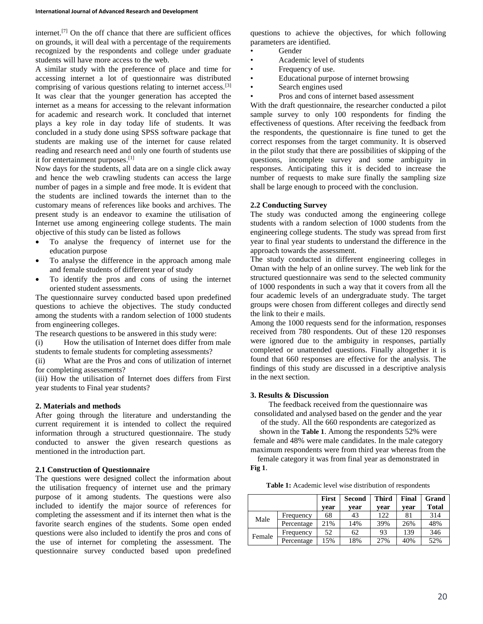internet.[7] On the off chance that there are sufficient offices on grounds, it will deal with a percentage of the requirements recognized by the respondents and college under graduate students will have more access to the web.

A similar study with the preference of place and time for accessing internet a lot of questionnaire was distributed comprising of various questions relating to internet access.[3] It was clear that the younger generation has accepted the internet as a means for accessing to the relevant information for academic and research work. It concluded that internet plays a key role in day today life of students. It was concluded in a study done using SPSS software package that students are making use of the internet for cause related reading and research need and only one fourth of students use it for entertainment purposes.<sup>[1]</sup>

Now days for the students, all data are on a single click away and hence the web crawling students can access the large number of pages in a simple and free mode. It is evident that the students are inclined towards the internet than to the customary means of references like books and archives. The present study is an endeavor to examine the utilisation of Internet use among engineering college students. The main objective of this study can be listed as follows

- To analyse the frequency of internet use for the education purpose
- To analyse the difference in the approach among male and female students of different year of study
- To identify the pros and cons of using the internet oriented student assessments.

The questionnaire survey conducted based upon predefined questions to achieve the objectives. The study conducted among the students with a random selection of 1000 students from engineering colleges.

The research questions to be answered in this study were:

(i) How the utilisation of Internet does differ from male students to female students for completing assessments?

(ii) What are the Pros and cons of utilization of internet for completing assessments?

(iii) How the utilisation of Internet does differs from First year students to Final year students?

### **2. Materials and methods**

After going through the literature and understanding the current requirement it is intended to collect the required information through a structured questionnaire. The study conducted to answer the given research questions as mentioned in the introduction part.

### **2.1 Construction of Questionnaire**

The questions were designed collect the information about the utilisation frequency of internet use and the primary purpose of it among students. The questions were also included to identify the major source of references for completing the assessment and if its internet then what is the favorite search engines of the students. Some open ended questions were also included to identify the pros and cons of the use of internet for completing the assessment. The questionnaire survey conducted based upon predefined

questions to achieve the objectives, for which following parameters are identified.

- Gender
- Academic level of students
- Frequency of use.
- Educational purpose of internet browsing
- Search engines used
- Pros and cons of internet based assessment

With the draft questionnaire, the researcher conducted a pilot sample survey to only 100 respondents for finding the effectiveness of questions. After receiving the feedback from the respondents, the questionnaire is fine tuned to get the correct responses from the target community. It is observed in the pilot study that there are possibilities of skipping of the questions, incomplete survey and some ambiguity in responses. Anticipating this it is decided to increase the number of requests to make sure finally the sampling size shall be large enough to proceed with the conclusion.

## **2.2 Conducting Survey**

The study was conducted among the engineering college students with a random selection of 1000 students from the engineering college students. The study was spread from first year to final year students to understand the difference in the approach towards the assessment.

The study conducted in different engineering colleges in Oman with the help of an online survey. The web link for the structured questionnaire was send to the selected community of 1000 respondents in such a way that it covers from all the four academic levels of an undergraduate study. The target groups were chosen from different colleges and directly send the link to their e mails.

Among the 1000 requests send for the information, responses received from 780 respondents. Out of these 120 responses were ignored due to the ambiguity in responses, partially completed or unattended questions. Finally altogether it is found that 660 responses are effective for the analysis. The findings of this study are discussed in a descriptive analysis in the next section.

## **3. Results & Discussion**

The feedback received from the questionnaire was consolidated and analysed based on the gender and the year

of the study. All the 660 respondents are categorized as

shown in the **[Table 1](#page-1-0)**. Among the respondents 52% were female and 48% were male candidates. In the male category maximum respondents were from third year whereas from the female category it was from final year as demonstrated in

**[Fig 1](#page-2-0)**.

**Table 1:** Academic level wise distribution of respondents

<span id="page-1-0"></span>

|        |            | First | <b>Second</b> | <b>Third</b> | Final | Grand        |
|--------|------------|-------|---------------|--------------|-------|--------------|
|        |            | vear  | vear          | vear         | vear  | <b>Total</b> |
| Male   | Frequency  | 68    | 43            | 122          | 81    | 314          |
|        | Percentage | 21%   | 14%           | 39%          | 26%   | 48%          |
| Female | Frequency  | 52    | 62            | 93           | 139   | 346          |
|        | Percentage | 15%   | 18%           | 27%          | 40%   | 52%          |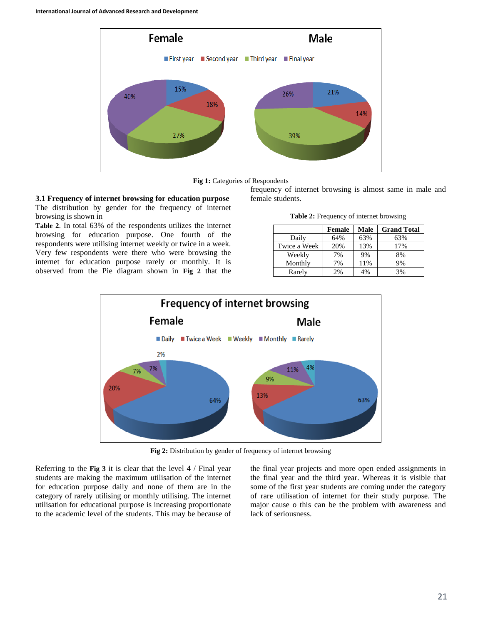



# <span id="page-2-0"></span>**3.1 Frequency of internet browsing for education purpose**

The distribution by gender for the frequency of internet browsing is shown in

**[Table 2](#page-2-1)**. In total 63% of the respondents utilizes the internet browsing for education purpose. One fourth of the respondents were utilising internet weekly or twice in a week. Very few respondents were there who were browsing the internet for education purpose rarely or monthly. It is observed from the Pie diagram shown in **[Fig 2](#page-2-2)** that the <span id="page-2-1"></span>frequency of internet browsing is almost same in male and female students.

| Table 2: Frequency of internet browsing |  |
|-----------------------------------------|--|
|                                         |  |

|              | Female | Male | <b>Grand Total</b> |
|--------------|--------|------|--------------------|
| Daily        | 64%    | 63%  | 63%                |
| Twice a Week | 20%    | 13%  | 17%                |
| Weekly       | 7%     | 9%   | 8%                 |
| Monthly      | 7%     | 11%  | 9%                 |
| Rarely       | 2%     | 4%   | 3%                 |



**Fig 2:** Distribution by gender of frequency of internet browsing

<span id="page-2-2"></span>Referring to the **[Fig 3](#page-3-0)** it is clear that the level 4 / Final year students are making the maximum utilisation of the internet for education purpose daily and none of them are in the category of rarely utilising or monthly utilising. The internet utilisation for educational purpose is increasing proportionate to the academic level of the students. This may be because of

the final year projects and more open ended assignments in the final year and the third year. Whereas it is visible that some of the first year students are coming under the category of rare utilisation of internet for their study purpose. The major cause o this can be the problem with awareness and lack of seriousness.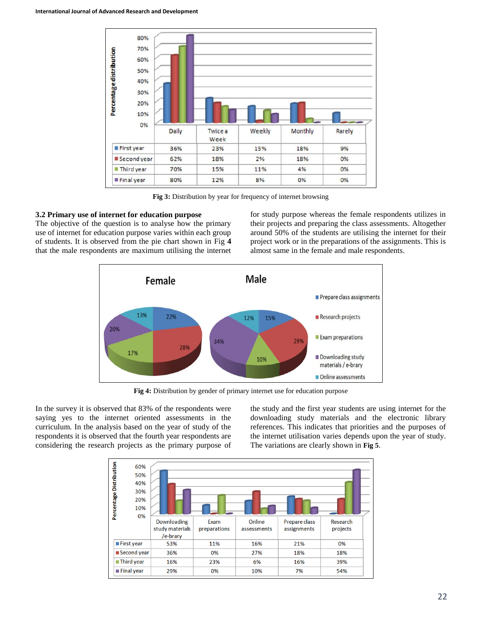

**Fig 3:** Distribution by year for frequency of internet browsing

## <span id="page-3-0"></span>**3.2 Primary use of internet for education purpose**

The objective of the question is to analyse how the primary use of internet for education purpose varies within each group of students. It is observed from the pie chart shown in [Fig](#page-3-1) **4** that the male respondents are maximum utilising the internet for study purpose whereas the female respondents utilizes in their projects and preparing the class assessments. Altogether around 50% of the students are utilising the internet for their project work or in the preparations of the assignments. This is almost same in the female and male respondents.



**Fig 4:** Distribution by gender of primary internet use for education purpose

<span id="page-3-1"></span>In the survey it is observed that 83% of the respondents were saying yes to the internet oriented assessments in the curriculum. In the analysis based on the year of study of the respondents it is observed that the fourth year respondents are considering the research projects as the primary purpose of

the study and the first year students are using internet for the downloading study materials and the electronic library references. This indicates that priorities and the purposes of the internet utilisation varies depends upon the year of study. The variations are clearly shown in **[Fig 5](#page-4-0)**.

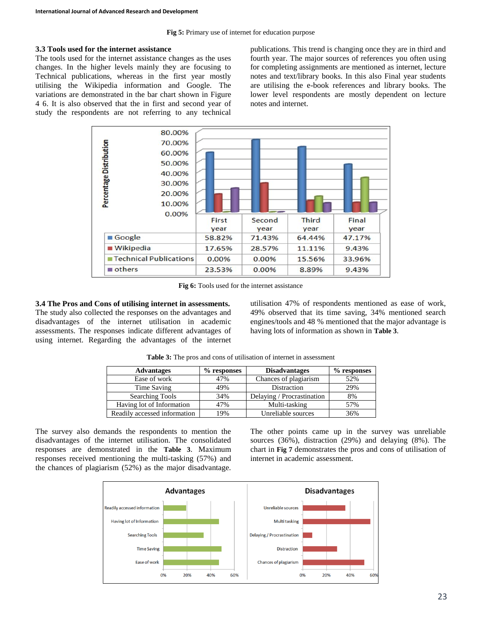#### <span id="page-4-0"></span>**3.3 Tools used for the internet assistance**

The tools used for the internet assistance changes as the uses changes. In the higher levels mainly they are focusing to Technical publications, whereas in the first year mostly utilising the Wikipedia information and Google. The variations are demonstrated in the bar chart shown in Figure 4 6. It is also observed that the in first and second year of study the respondents are not referring to any technical publications. This trend is changing once they are in third and fourth year. The major sources of references you often using for completing assignments are mentioned as internet, lecture notes and text/library books. In this also Final year students are utilising the e-book references and library books. The lower level respondents are mostly dependent on lecture notes and internet.



**Fig 6:** Tools used for the internet assistance

<span id="page-4-1"></span>**3.4 The Pros and Cons of utilising internet in assessments.**  The study also collected the responses on the advantages and disadvantages of the internet utilisation in academic assessments. The responses indicate different advantages of using internet. Regarding the advantages of the internet utilisation 47% of respondents mentioned as ease of work, 49% observed that its time saving, 34% mentioned search engines/tools and 48 % mentioned that the major advantage is having lots of information as shown in **[Table 3](#page-4-1)**.

| <b>Advantages</b>            | $%$ responses | <b>Disadvantages</b>       | $%$ responses |
|------------------------------|---------------|----------------------------|---------------|
| Ease of work                 | 47%           | Chances of plagiarism      | 52%           |
| Time Saving                  | 49%           | Distraction                | 29%           |
| <b>Searching Tools</b>       | 34%           | Delaying / Procrastination | 8%            |
| Having lot of Information    | 47%           | Multi-tasking              | 57%           |
| Readily accessed information | 19%           | Unreliable sources         | 36%           |

**Table 3:** The pros and cons of utilisation of internet in assessment

The survey also demands the respondents to mention the disadvantages of the internet utilisation. The consolidated responses are demonstrated in the **[Table 3](#page-4-1)**. Maximum responses received mentioning the multi-tasking (57%) and the chances of plagiarism (52%) as the major disadvantage.

The other points came up in the survey was unreliable sources (36%), distraction (29%) and delaying (8%). The chart in **[Fig 7](#page-5-0)** demonstrates the pros and cons of utilisation of internet in academic assessment.

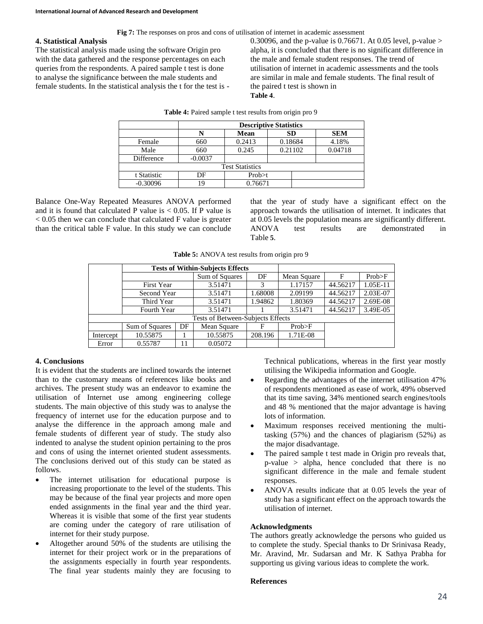**Fig 7:** The responses on pros and cons of utilisation of internet in academic assessment

### <span id="page-5-0"></span>**4. Statistical Analysis**

The statistical analysis made using the software Origin pro with the data gathered and the response percentages on each queries from the respondents. A paired sample t test is done to analyse the significance between the male students and female students. In the statistical analysis the t for the test is - <span id="page-5-1"></span>0.30096, and the p-value is 0.76671. At 0.05 level, p-value > alpha, it is concluded that there is no significant difference in the male and female student responses. The trend of utilisation of internet in academic assessments and the tools are similar in male and female students. The final result of the paired t test is shown i[n](#page-5-1)  **[Table 4](#page-5-1)**.

|             | <b>Descriptive Statistics</b> |                        |         |            |  |
|-------------|-------------------------------|------------------------|---------|------------|--|
|             | N                             | Mean                   | SD      | <b>SEM</b> |  |
| Female      | 660                           | 0.2413                 | 0.18684 | 4.18%      |  |
| Male        | 660                           | 0.245                  | 0.21102 | 0.04718    |  |
| Difference  | $-0.0037$                     |                        |         |            |  |
|             |                               | <b>Test Statistics</b> |         |            |  |
| t Statistic | DF                            | Prob> t                |         |            |  |
| $-0.30096$  | 19                            | 0.76671                |         |            |  |

**Table 4:** Paired sample t test results from origin pro 9

Balance One-Way Repeated Measures ANOVA performed and it is found that calculated P value is  $< 0.05$ . If P value is < 0.05 then we can conclude that calculated F value is greater than the critical table F value. In this study we can conclude

<span id="page-5-2"></span>that the year of study have a significant effect on the approach towards the utilisation of internet. It indicates that at 0.05 levels the population means are significantly different. ANOVA test results are demonstrated i[n](#page-5-2)  [Table](#page-5-2) **5**.

|  |  | Table 5: ANOVA test results from origin pro 9 |  |  |  |  |
|--|--|-----------------------------------------------|--|--|--|--|
|--|--|-----------------------------------------------|--|--|--|--|

|                                   |                           | <b>Tests of Within-Subjects Effects</b> |                |         |             |          |          |
|-----------------------------------|---------------------------|-----------------------------------------|----------------|---------|-------------|----------|----------|
|                                   |                           |                                         | Sum of Squares | DF      | Mean Square | F        | Prob>F   |
|                                   | First Year                |                                         | 3.51471        | 3       | 1.17157     | 44.56217 | 1.05E-11 |
|                                   | Second Year               |                                         | 3.51471        | 1.68008 | 2.09199     | 44.56217 | 2.03E-07 |
|                                   | Third Year<br>Fourth Year |                                         | 3.51471        | 1.94862 | 1.80369     | 44.56217 | 2.69E-08 |
|                                   |                           |                                         | 3.51471        |         | 3.51471     | 44.56217 | 3.49E-05 |
| Tests of Between-Subjects Effects |                           |                                         |                |         |             |          |          |
|                                   | Sum of Squares            | DF                                      | Mean Square    | F       | Prob>F      |          |          |
| Intercept                         | 10.55875                  |                                         | 10.55875       | 208.196 | 1.71E-08    |          |          |
| Error                             | 0.55787                   | 11                                      | 0.05072        |         |             |          |          |

## **4. Conclusions**

It is evident that the students are inclined towards the internet than to the customary means of references like books and archives. The present study was an endeavor to examine the utilisation of Internet use among engineering college students. The main objective of this study was to analyse the frequency of internet use for the education purpose and to analyse the difference in the approach among male and female students of different year of study. The study also indented to analyse the student opinion pertaining to the pros and cons of using the internet oriented student assessments. The conclusions derived out of this study can be stated as follows.

- The internet utilisation for educational purpose is increasing proportionate to the level of the students. This may be because of the final year projects and more open ended assignments in the final year and the third year. Whereas it is visible that some of the first year students are coming under the category of rare utilisation of internet for their study purpose.
- Altogether around 50% of the students are utilising the internet for their project work or in the preparations of the assignments especially in fourth year respondents. The final year students mainly they are focusing to

Technical publications, whereas in the first year mostly utilising the Wikipedia information and Google.

- Regarding the advantages of the internet utilisation 47% of respondents mentioned as ease of work, 49% observed that its time saving, 34% mentioned search engines/tools and 48 % mentioned that the major advantage is having lots of information.
- Maximum responses received mentioning the multitasking (57%) and the chances of plagiarism (52%) as the major disadvantage.
- The paired sample t test made in Origin pro reveals that, p-value > alpha, hence concluded that there is no significant difference in the male and female student responses.
- ANOVA results indicate that at 0.05 levels the year of study has a significant effect on the approach towards the utilisation of internet.

### **Acknowledgments**

The authors greatly acknowledge the persons who guided us to complete the study. Special thanks to Dr Srinivasa Ready, Mr. Aravind, Mr. Sudarsan and Mr. K Sathya Prabha for supporting us giving various ideas to complete the work.

### **References**